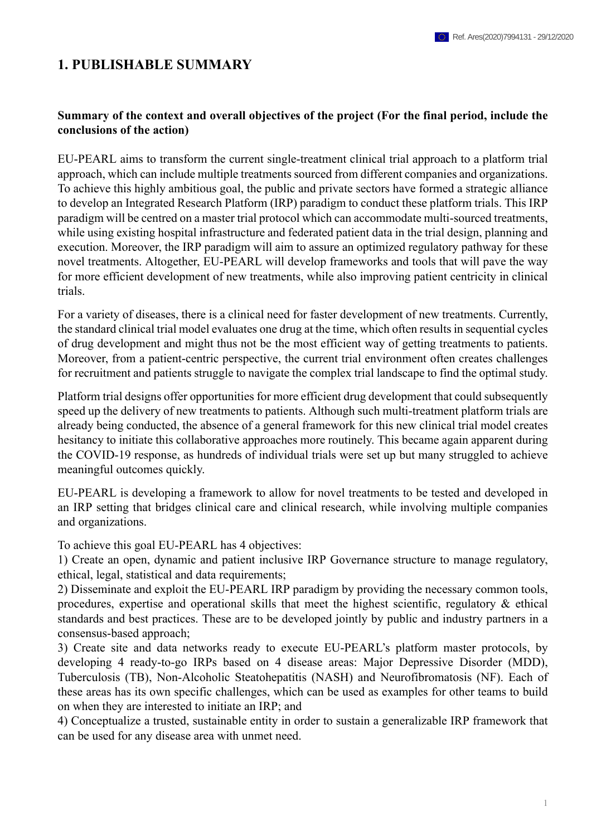## **1. PUBLISHABLE SUMMARY**

## **Summary of the context and overall objectives of the project (For the final period, include the conclusions of the action)**

EU-PEARL aims to transform the current single-treatment clinical trial approach to a platform trial approach, which can include multiple treatments sourced from different companies and organizations. To achieve this highly ambitious goal, the public and private sectors have formed a strategic alliance to develop an Integrated Research Platform (IRP) paradigm to conduct these platform trials. This IRP paradigm will be centred on a master trial protocol which can accommodate multi-sourced treatments, while using existing hospital infrastructure and federated patient data in the trial design, planning and execution. Moreover, the IRP paradigm will aim to assure an optimized regulatory pathway for these novel treatments. Altogether, EU-PEARL will develop frameworks and tools that will pave the way for more efficient development of new treatments, while also improving patient centricity in clinical trials.

For a variety of diseases, there is a clinical need for faster development of new treatments. Currently, the standard clinical trial model evaluates one drug at the time, which often results in sequential cycles of drug development and might thus not be the most efficient way of getting treatments to patients. Moreover, from a patient-centric perspective, the current trial environment often creates challenges for recruitment and patients struggle to navigate the complex trial landscape to find the optimal study.

Platform trial designs offer opportunities for more efficient drug development that could subsequently speed up the delivery of new treatments to patients. Although such multi-treatment platform trials are already being conducted, the absence of a general framework for this new clinical trial model creates hesitancy to initiate this collaborative approaches more routinely. This became again apparent during the COVID-19 response, as hundreds of individual trials were set up but many struggled to achieve meaningful outcomes quickly.

EU-PEARL is developing a framework to allow for novel treatments to be tested and developed in an IRP setting that bridges clinical care and clinical research, while involving multiple companies and organizations.

To achieve this goal EU-PEARL has 4 objectives:

1) Create an open, dynamic and patient inclusive IRP Governance structure to manage regulatory, ethical, legal, statistical and data requirements;

2) Disseminate and exploit the EU-PEARL IRP paradigm by providing the necessary common tools, procedures, expertise and operational skills that meet the highest scientific, regulatory & ethical standards and best practices. These are to be developed jointly by public and industry partners in a consensus-based approach;

3) Create site and data networks ready to execute EU-PEARL's platform master protocols, by developing 4 ready-to-go IRPs based on 4 disease areas: Major Depressive Disorder (MDD), Tuberculosis (TB), Non-Alcoholic Steatohepatitis (NASH) and Neurofibromatosis (NF). Each of these areas has its own specific challenges, which can be used as examples for other teams to build on when they are interested to initiate an IRP; and

4) Conceptualize a trusted, sustainable entity in order to sustain a generalizable IRP framework that can be used for any disease area with unmet need.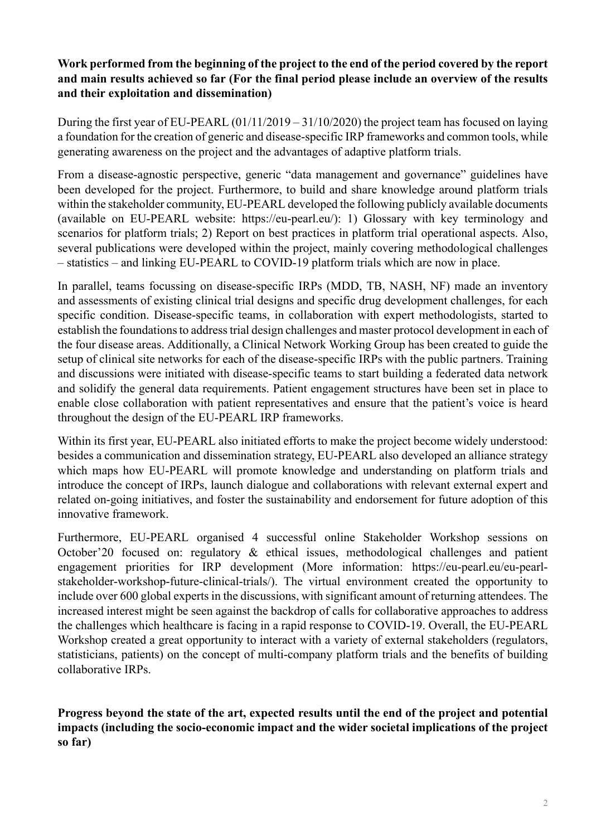## **Work performed from the beginning of the project to the end of the period covered by the report and main results achieved so far (For the final period please include an overview of the results and their exploitation and dissemination)**

During the first year of EU-PEARL (01/11/2019 – 31/10/2020) the project team has focused on laying a foundation for the creation of generic and disease-specific IRP frameworks and common tools, while generating awareness on the project and the advantages of adaptive platform trials.

From a disease-agnostic perspective, generic "data management and governance" guidelines have been developed for the project. Furthermore, to build and share knowledge around platform trials within the stakeholder community, EU-PEARL developed the following publicly available documents (available on EU-PEARL website: https://eu-pearl.eu/): 1) Glossary with key terminology and scenarios for platform trials; 2) Report on best practices in platform trial operational aspects. Also, several publications were developed within the project, mainly covering methodological challenges – statistics – and linking EU-PEARL to COVID-19 platform trials which are now in place.

In parallel, teams focussing on disease-specific IRPs (MDD, TB, NASH, NF) made an inventory and assessments of existing clinical trial designs and specific drug development challenges, for each specific condition. Disease-specific teams, in collaboration with expert methodologists, started to establish the foundations to address trial design challenges and master protocol development in each of the four disease areas. Additionally, a Clinical Network Working Group has been created to guide the setup of clinical site networks for each of the disease-specific IRPs with the public partners. Training and discussions were initiated with disease-specific teams to start building a federated data network and solidify the general data requirements. Patient engagement structures have been set in place to enable close collaboration with patient representatives and ensure that the patient's voice is heard throughout the design of the EU-PEARL IRP frameworks.

Within its first year, EU-PEARL also initiated efforts to make the project become widely understood: besides a communication and dissemination strategy, EU-PEARL also developed an alliance strategy which maps how EU-PEARL will promote knowledge and understanding on platform trials and introduce the concept of IRPs, launch dialogue and collaborations with relevant external expert and related on-going initiatives, and foster the sustainability and endorsement for future adoption of this innovative framework.

Furthermore, EU-PEARL organised 4 successful online Stakeholder Workshop sessions on October'20 focused on: regulatory & ethical issues, methodological challenges and patient engagement priorities for IRP development (More information: https://eu-pearl.eu/eu-pearlstakeholder-workshop-future-clinical-trials/). The virtual environment created the opportunity to include over 600 global experts in the discussions, with significant amount of returning attendees. The increased interest might be seen against the backdrop of calls for collaborative approaches to address the challenges which healthcare is facing in a rapid response to COVID-19. Overall, the EU-PEARL Workshop created a great opportunity to interact with a variety of external stakeholders (regulators, statisticians, patients) on the concept of multi-company platform trials and the benefits of building collaborative IRPs.

**Progress beyond the state of the art, expected results until the end of the project and potential impacts (including the socio-economic impact and the wider societal implications of the project so far)**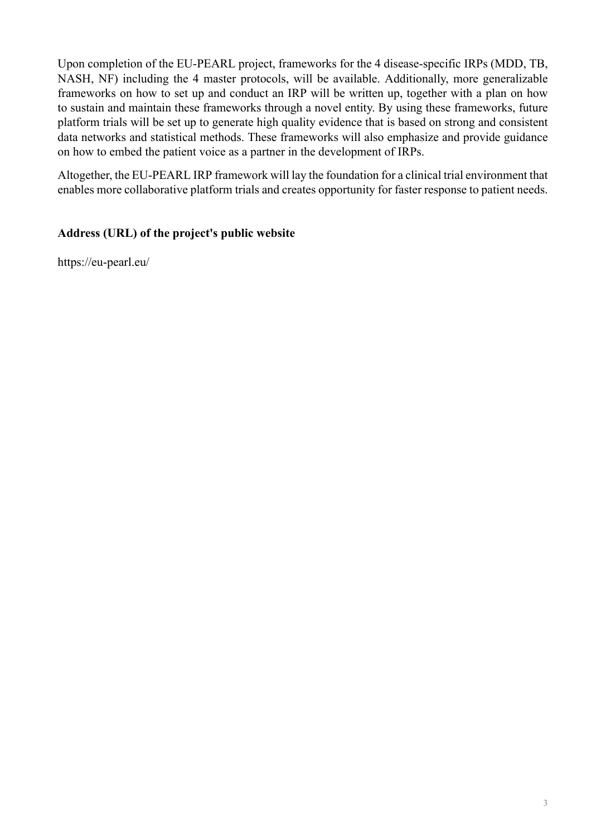Upon completion of the EU-PEARL project, frameworks for the 4 disease-specific IRPs (MDD, TB, NASH, NF) including the 4 master protocols, will be available. Additionally, more generalizable frameworks on how to set up and conduct an IRP will be written up, together with a plan on how to sustain and maintain these frameworks through a novel entity. By using these frameworks, future platform trials will be set up to generate high quality evidence that is based on strong and consistent data networks and statistical methods. These frameworks will also emphasize and provide guidance on how to embed the patient voice as a partner in the development of IRPs.

Altogether, the EU-PEARL IRP framework will lay the foundation for a clinical trial environment that enables more collaborative platform trials and creates opportunity for faster response to patient needs.

## **Address (URL) of the project's public website**

https://eu-pearl.eu/